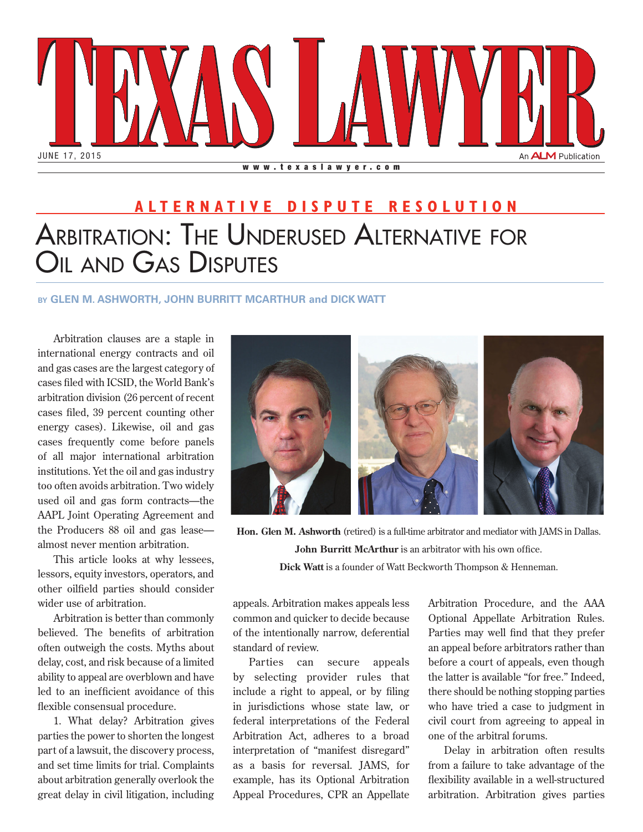

## Arbitration: The Underused Alternative for OIL AND GAS DISPUTES **ALTERNATIVE DISPUTE RESOLUTION**

## **by GLEN M. ASHWORTH, JOHN BURRITT MCARTHUR and DICK WATT**

Arbitration clauses are a staple in international energy contracts and oil and gas cases are the largest category of cases filed with ICSID, the World Bank's arbitration division (26 percent of recent cases filed, 39 percent counting other energy cases). Likewise, oil and gas cases frequently come before panels of all major international arbitration institutions. Yet the oil and gas industry too often avoids arbitration. Two widely used oil and gas form contracts—the AAPL Joint Operating Agreement and the Producers 88 oil and gas lease almost never mention arbitration.

This article looks at why lessees, lessors, equity investors, operators, and other oilfield parties should consider wider use of arbitration.

Arbitration is better than commonly believed. The benefits of arbitration often outweigh the costs. Myths about delay, cost, and risk because of a limited ability to appeal are overblown and have led to an inefficient avoidance of this flexible consensual procedure.

1. What delay? Arbitration gives parties the power to shorten the longest part of a lawsuit, the discovery process, and set time limits for trial. Complaints about arbitration generally overlook the great delay in civil litigation, including



**Hon. Glen M. Ashworth** (retired) is a full-time arbitrator and mediator with JAMS in Dallas. **John Burritt McArthur** is an arbitrator with his own office. **Dick Watt** is a founder of Watt Beckworth Thompson & Henneman.

appeals. Arbitration makes appeals less common and quicker to decide because of the intentionally narrow, deferential standard of review.

Parties can secure appeals by selecting provider rules that include a right to appeal, or by filing in jurisdictions whose state law, or federal interpretations of the Federal Arbitration Act, adheres to a broad interpretation of "manifest disregard" as a basis for reversal. JAMS, for example, has its Optional Arbitration Appeal Procedures, CPR an Appellate Arbitration Procedure, and the AAA Optional Appellate Arbitration Rules. Parties may well find that they prefer an appeal before arbitrators rather than before a court of appeals, even though the latter is available "for free." Indeed, there should be nothing stopping parties who have tried a case to judgment in civil court from agreeing to appeal in one of the arbitral forums.

Delay in arbitration often results from a failure to take advantage of the flexibility available in a well-structured arbitration. Arbitration gives parties